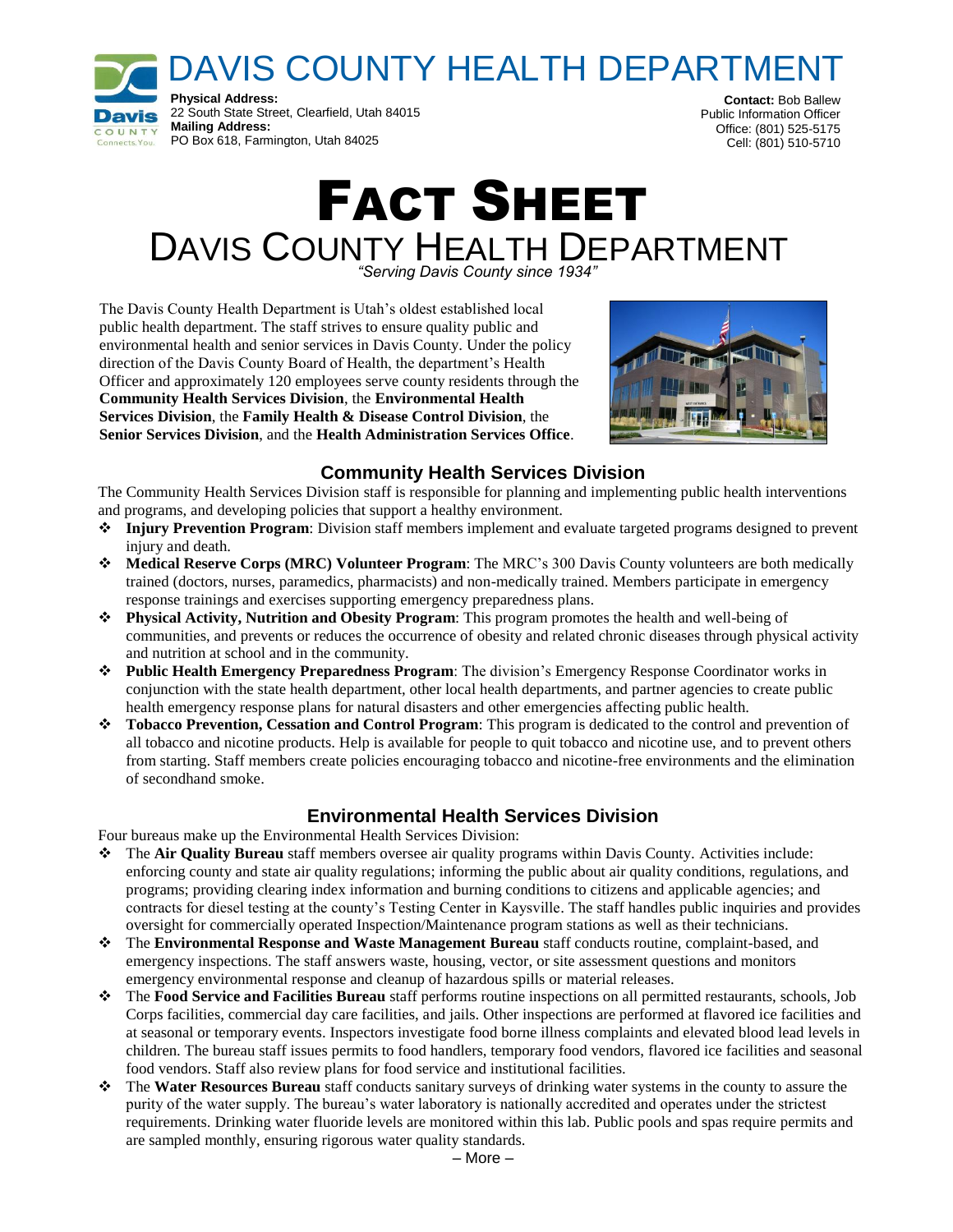DAVIS COUNTY HEALTH DEPARTMENT



**Contact:** Bob Ballew Public Information Officer Office: (801) 525-5175 Cell: (801) 510-5710

# FACT SHEET DAVIS COUNTY HEALTH DEPARTMENT

*"Serving Davis County since 1934"*

The Davis County Health Department is Utah's oldest established local public health department. The staff strives to ensure quality public and environmental health and senior services in Davis County. Under the policy direction of the Davis County Board of Health, the department's Health Officer and approximately 120 employees serve county residents through the **Community Health Services Division**, the **Environmental Health Services Division**, the **Family Health & Disease Control Division**, the **Senior Services Division**, and the **Health Administration Services Office**.



# **Community Health Services Division**

The Community Health Services Division staff is responsible for planning and implementing public health interventions and programs, and developing policies that support a healthy environment.

- **Injury Prevention Program**: Division staff members implement and evaluate targeted programs designed to prevent injury and death.
- **Medical Reserve Corps (MRC) Volunteer Program**: The MRC's 300 Davis County volunteers are both medically trained (doctors, nurses, paramedics, pharmacists) and non-medically trained. Members participate in emergency response trainings and exercises supporting emergency preparedness plans.
- **Physical Activity, Nutrition and Obesity Program**: This program promotes the health and well-being of communities, and prevents or reduces the occurrence of obesity and related chronic diseases through physical activity and nutrition at school and in the community.
- **Public Health Emergency Preparedness Program**: The division's Emergency Response Coordinator works in conjunction with the state health department, other local health departments, and partner agencies to create public health emergency response plans for natural disasters and other emergencies affecting public health.
- **Tobacco Prevention, Cessation and Control Program**: This program is dedicated to the control and prevention of all tobacco and nicotine products. Help is available for people to quit tobacco and nicotine use, and to prevent others from starting. Staff members create policies encouraging tobacco and nicotine-free environments and the elimination of secondhand smoke.

#### **Environmental Health Services Division**

Four bureaus make up the Environmental Health Services Division:

- The **Air Quality Bureau** staff members oversee air quality programs within Davis County. Activities include: enforcing county and state air quality regulations; informing the public about air quality conditions, regulations, and programs; providing clearing index information and burning conditions to citizens and applicable agencies; and contracts for diesel testing at the county's Testing Center in Kaysville. The staff handles public inquiries and provides oversight for commercially operated Inspection/Maintenance program stations as well as their technicians.
- The **Environmental Response and Waste Management Bureau** staff conducts routine, complaint-based, and emergency inspections. The staff answers waste, housing, vector, or site assessment questions and monitors emergency environmental response and cleanup of hazardous spills or material releases.
- The **Food Service and Facilities Bureau** staff performs routine inspections on all permitted restaurants, schools, Job Corps facilities, commercial day care facilities, and jails. Other inspections are performed at flavored ice facilities and at seasonal or temporary events. Inspectors investigate food borne illness complaints and elevated blood lead levels in children. The bureau staff issues permits to food handlers, temporary food vendors, flavored ice facilities and seasonal food vendors. Staff also review plans for food service and institutional facilities.
- The **Water Resources Bureau** staff conducts sanitary surveys of drinking water systems in the county to assure the purity of the water supply. The bureau's water laboratory is nationally accredited and operates under the strictest requirements. Drinking water fluoride levels are monitored within this lab. Public pools and spas require permits and are sampled monthly, ensuring rigorous water quality standards.